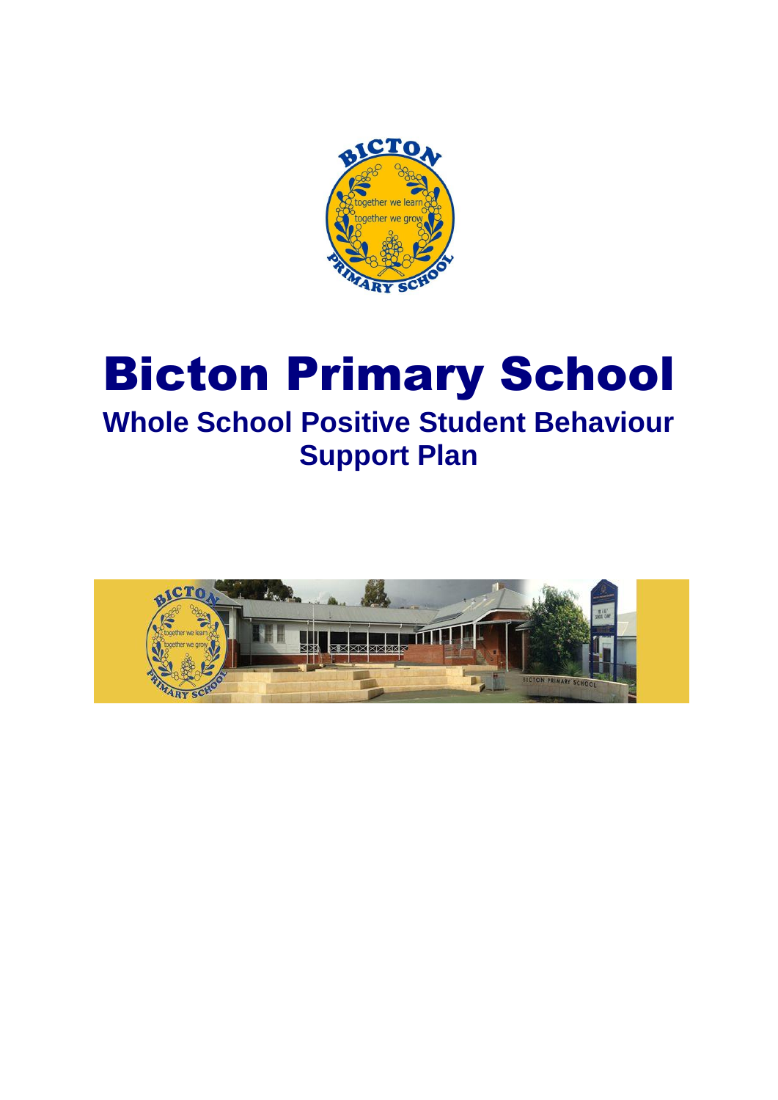

# Bicton Primary School **Whole School Positive Student Behaviour Support Plan**

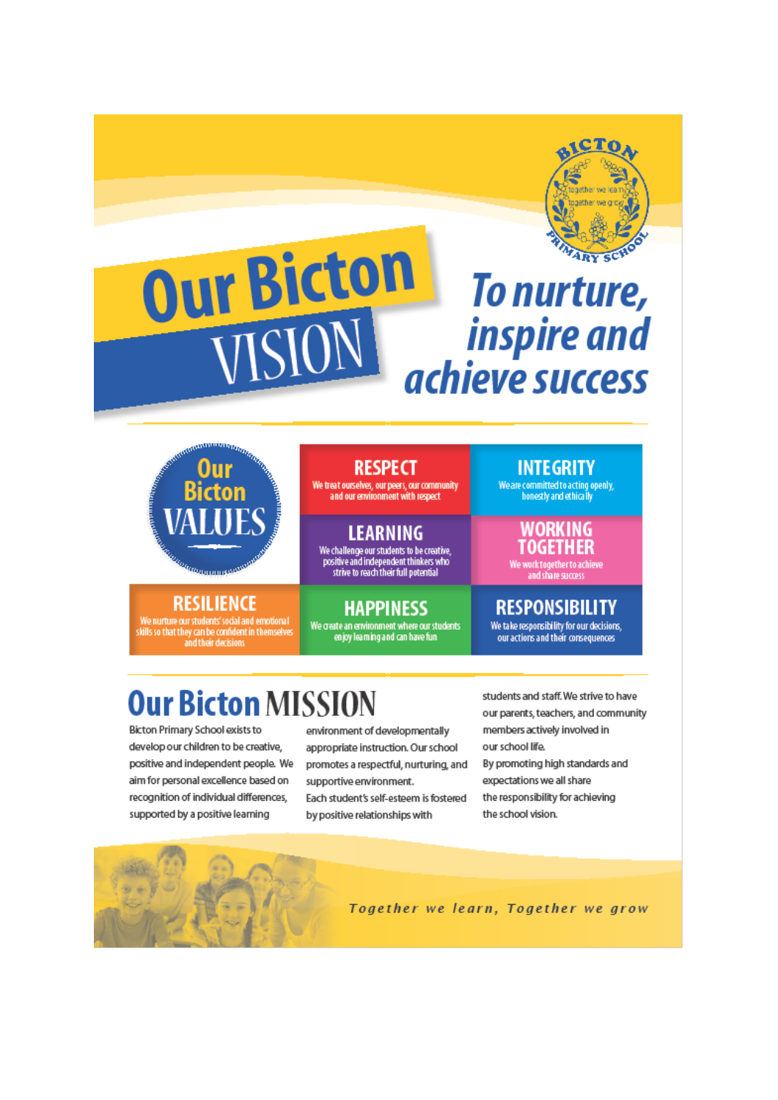

## **Our Bicton** To nurture, VISIO *inspire and* achieve success



**RESILIENCE** 

We nurture our students' social and emotional<br>kills so that they can be confident in themselves<br>and their decisions

**RESPECT** 

We treat ourselves, our peers, our community<br>and our environment with respect

**LEARNING** We challenge our students to be creative,<br>positive and independent thinkers who strive to reach their full potential

## **HAPPINESS**

We create an environment where our students<br>enjoy learning and can have fun

**INTEGRITY** 

We are committed to acting openly,<br>honestly and ethically

**IORKING OGETHER** 

ork together to achi<mark>eve</mark><br>and share success

## **RESPONSIBILITY**

We take responsibility for our decisions, our actions and their consequences

# **Our Bicton MISSION**

Bicton Primary School exists to develop our children to be creative, positive and independent people. We aim for personal excellence based on recognition of individual differences. supported by a positive learning

environment of developmentally appropriate instruction. Our school promotes a respectful, nurturing, and supportive environment. Each student's self-esteem is fostered by positive relationships with

students and staff. We strive to have our parents, teachers, and community members actively involved in our school life. By promoting high standards and expectations we all share the responsibility for achieving the school vision.

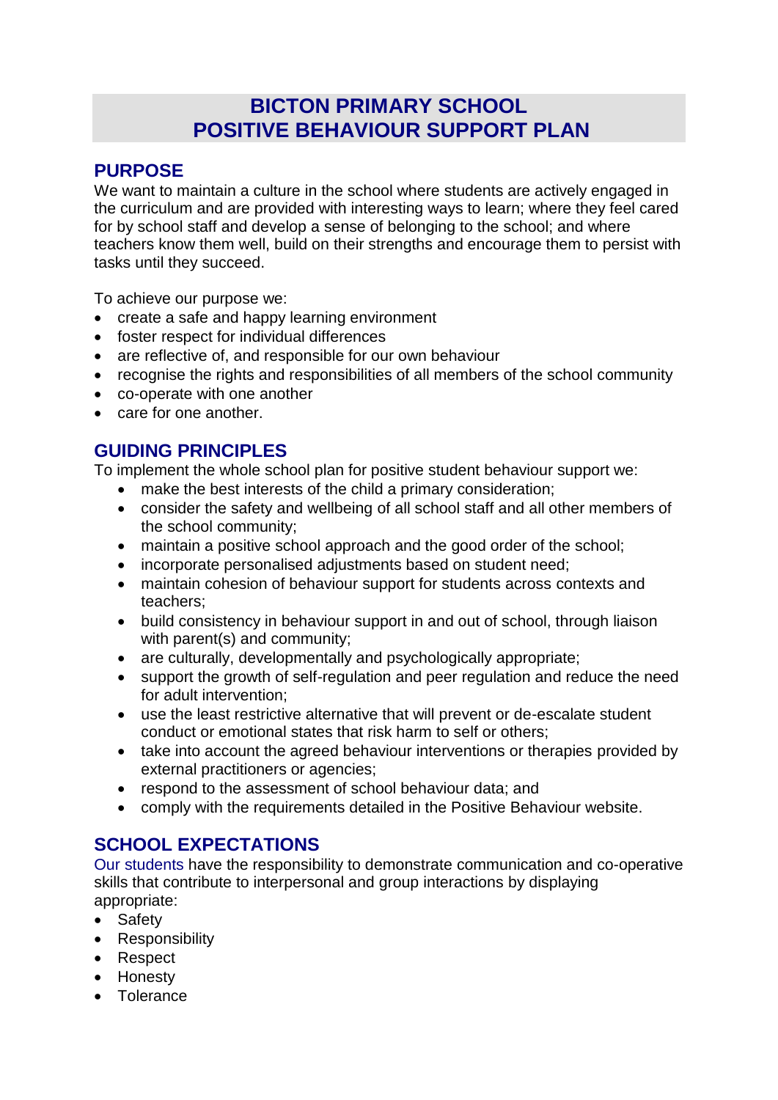## **BICTON PRIMARY SCHOOL POSITIVE BEHAVIOUR SUPPORT PLAN**

## **PURPOSE**

We want to maintain a culture in the school where students are actively engaged in the curriculum and are provided with interesting ways to learn; where they feel cared for by school staff and develop a sense of belonging to the school; and where teachers know them well, build on their strengths and encourage them to persist with tasks until they succeed.

To achieve our purpose we:

- create a safe and happy learning environment
- foster respect for individual differences
- are reflective of, and responsible for our own behaviour
- recognise the rights and responsibilities of all members of the school community
- co-operate with one another
- care for one another.

## **GUIDING PRINCIPLES**

To implement the whole school plan for positive student behaviour support we:

- make the best interests of the child a primary consideration;
- consider the safety and wellbeing of all school staff and all other members of the school community;
- maintain a positive school approach and the good order of the school;
- incorporate personalised adjustments based on student need;
- maintain cohesion of behaviour support for students across contexts and teachers;
- build consistency in behaviour support in and out of school, through liaison with parent(s) and community;
- are culturally, developmentally and psychologically appropriate;
- support the growth of self-regulation and peer regulation and reduce the need for adult intervention;
- use the least restrictive alternative that will prevent or de-escalate student conduct or emotional states that risk harm to self or others;
- take into account the agreed behaviour interventions or therapies provided by external practitioners or agencies;
- respond to the assessment of school behaviour data; and
- comply with the requirements detailed in the Positive Behaviour website.

## **SCHOOL EXPECTATIONS**

Our students have the responsibility to demonstrate communication and co-operative skills that contribute to interpersonal and group interactions by displaying appropriate:

- Safety
- Responsibility
- Respect
- Honesty
- **Colerance**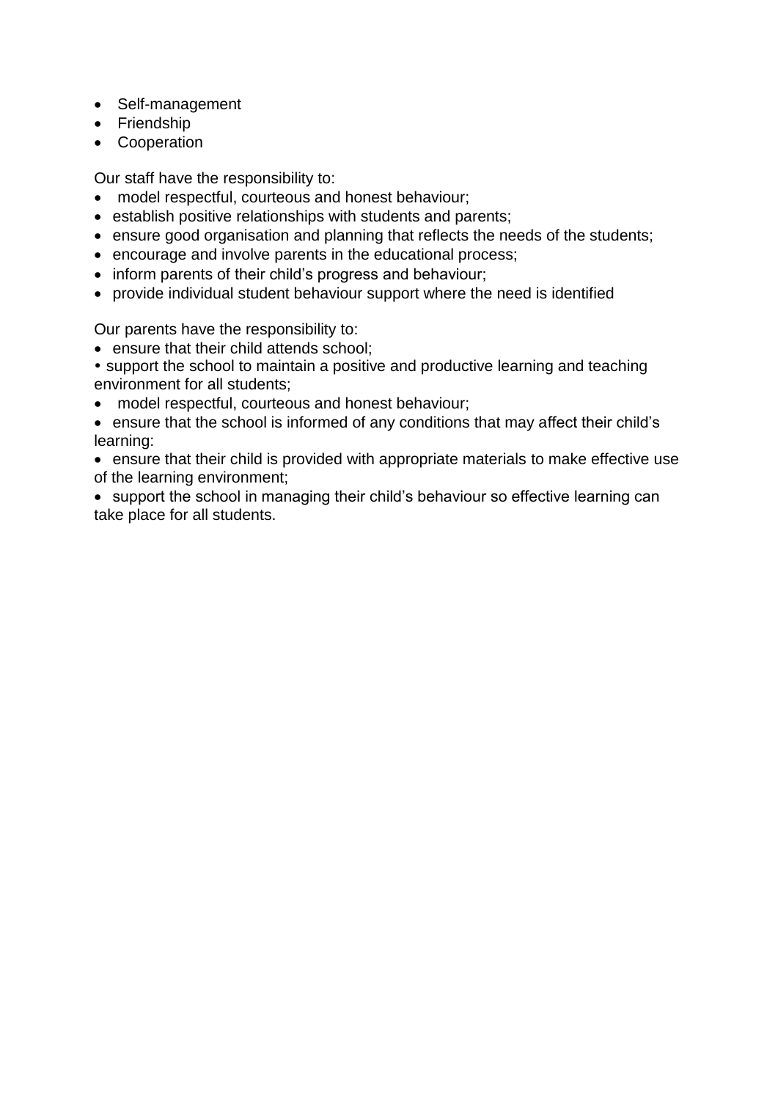- Self-management
- Friendship
- Cooperation

Our staff have the responsibility to:

- model respectful, courteous and honest behaviour;
- establish positive relationships with students and parents;
- ensure good organisation and planning that reflects the needs of the students;
- encourage and involve parents in the educational process;
- inform parents of their child's progress and behaviour;
- provide individual student behaviour support where the need is identified

Our parents have the responsibility to:

- ensure that their child attends school;
- support the school to maintain a positive and productive learning and teaching environment for all students;
- model respectful, courteous and honest behaviour;
- ensure that the school is informed of any conditions that may affect their child's learning:
- ensure that their child is provided with appropriate materials to make effective use of the learning environment;
- support the school in managing their child's behaviour so effective learning can take place for all students.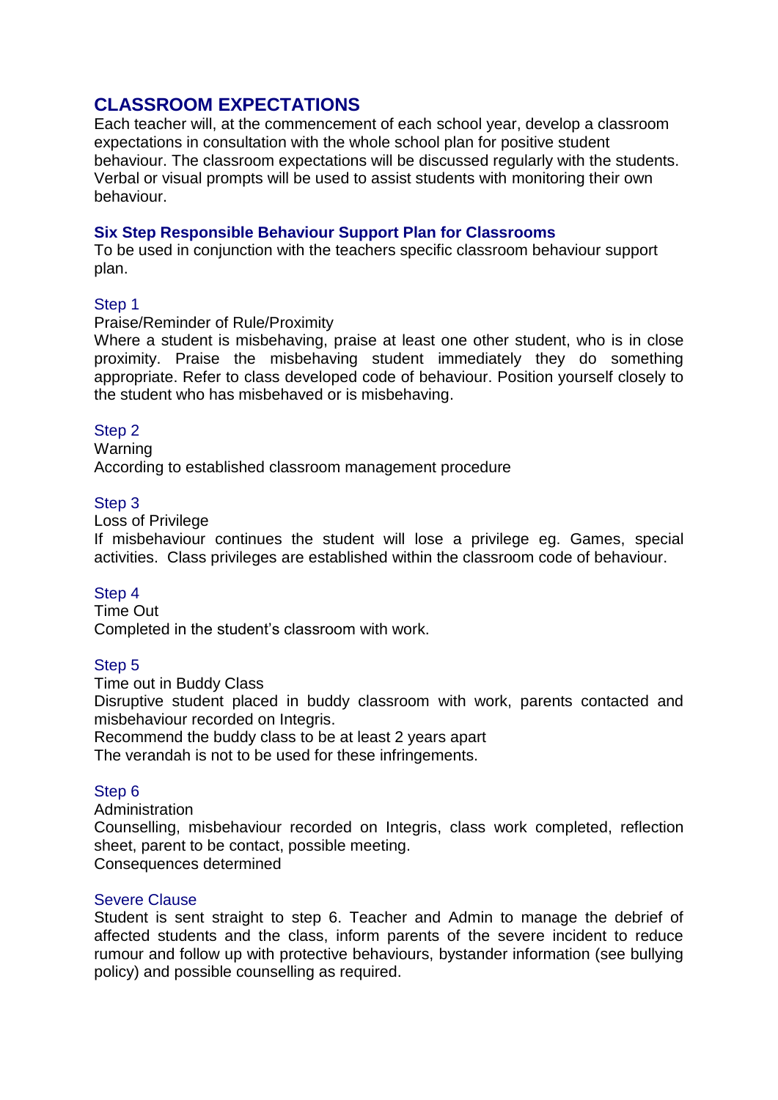### **CLASSROOM EXPECTATIONS**

Each teacher will, at the commencement of each school year, develop a classroom expectations in consultation with the whole school plan for positive student behaviour. The classroom expectations will be discussed regularly with the students. Verbal or visual prompts will be used to assist students with monitoring their own behaviour.

#### **Six Step Responsible Behaviour Support Plan for Classrooms**

To be used in conjunction with the teachers specific classroom behaviour support plan.

#### Step 1

#### Praise/Reminder of Rule/Proximity

Where a student is misbehaving, praise at least one other student, who is in close proximity. Praise the misbehaving student immediately they do something appropriate. Refer to class developed code of behaviour. Position yourself closely to the student who has misbehaved or is misbehaving.

#### Step 2

Warning According to established classroom management procedure

#### Step 3

Loss of Privilege

If misbehaviour continues the student will lose a privilege eg. Games, special activities. Class privileges are established within the classroom code of behaviour.

#### Step 4

Time Out Completed in the student's classroom with work.

#### Step 5

Time out in Buddy Class Disruptive student placed in buddy classroom with work, parents contacted and misbehaviour recorded on Integris.

Recommend the buddy class to be at least 2 years apart

The verandah is not to be used for these infringements.

#### Step 6

**Administration** 

Counselling, misbehaviour recorded on Integris, class work completed, reflection sheet, parent to be contact, possible meeting.

Consequences determined

#### Severe Clause

Student is sent straight to step 6. Teacher and Admin to manage the debrief of affected students and the class, inform parents of the severe incident to reduce rumour and follow up with protective behaviours, bystander information (see bullying policy) and possible counselling as required.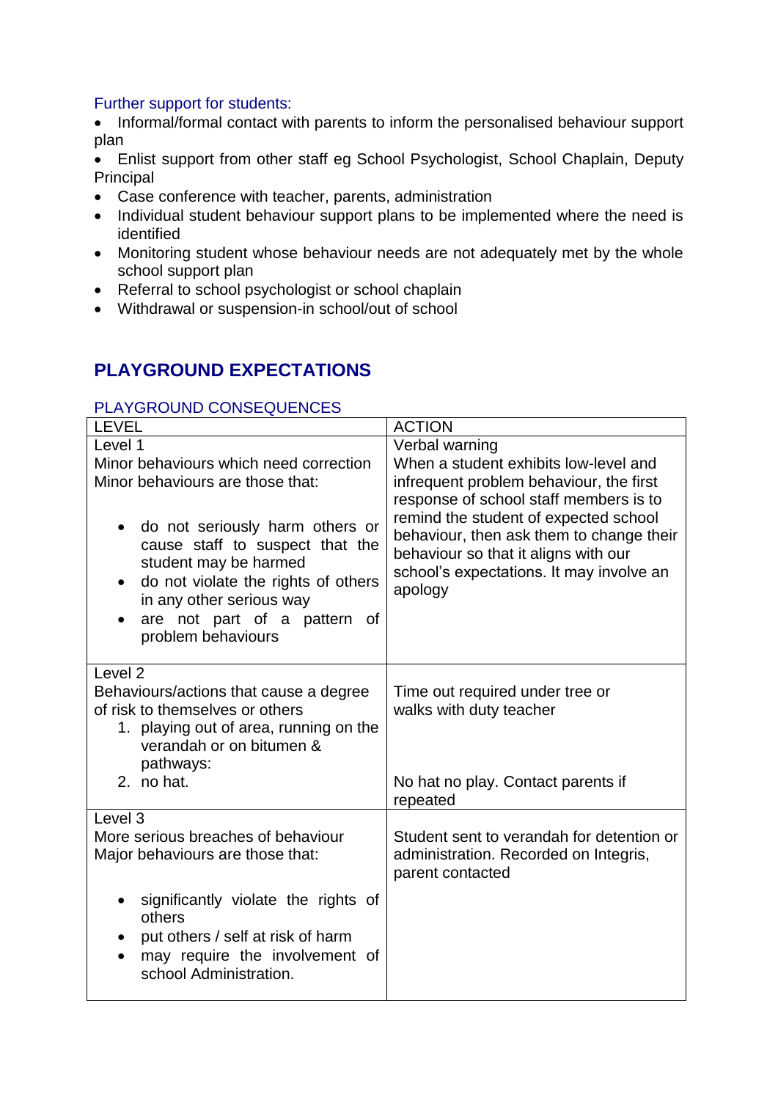#### Further support for students:

• Informal/formal contact with parents to inform the personalised behaviour support plan

 Enlist support from other staff eg School Psychologist, School Chaplain, Deputy Principal

- Case conference with teacher, parents, administration
- Individual student behaviour support plans to be implemented where the need is identified
- Monitoring student whose behaviour needs are not adequately met by the whole school support plan
- Referral to school psychologist or school chaplain
- Withdrawal or suspension-in school/out of school

## **PLAYGROUND EXPECTATIONS**

#### PLAYGROUND CONSEQUENCES

| <b>LEVEL</b>                                                                                                                                                                                                                                   | <b>ACTION</b>                                                                                                                                                                    |
|------------------------------------------------------------------------------------------------------------------------------------------------------------------------------------------------------------------------------------------------|----------------------------------------------------------------------------------------------------------------------------------------------------------------------------------|
| Level 1                                                                                                                                                                                                                                        | Verbal warning                                                                                                                                                                   |
| Minor behaviours which need correction                                                                                                                                                                                                         | When a student exhibits low-level and                                                                                                                                            |
| Minor behaviours are those that:                                                                                                                                                                                                               | infrequent problem behaviour, the first<br>response of school staff members is to                                                                                                |
| do not seriously harm others or<br>$\bullet$<br>cause staff to suspect that the<br>student may be harmed<br>do not violate the rights of others<br>$\bullet$<br>in any other serious way<br>are not part of a pattern of<br>problem behaviours | remind the student of expected school<br>behaviour, then ask them to change their<br>behaviour so that it aligns with our<br>school's expectations. It may involve an<br>apology |
| Level <sub>2</sub>                                                                                                                                                                                                                             |                                                                                                                                                                                  |
| Behaviours/actions that cause a degree                                                                                                                                                                                                         | Time out required under tree or                                                                                                                                                  |
| of risk to themselves or others<br>1. playing out of area, running on the<br>verandah or on bitumen &                                                                                                                                          | walks with duty teacher                                                                                                                                                          |
| pathways:                                                                                                                                                                                                                                      |                                                                                                                                                                                  |
| 2. no hat.                                                                                                                                                                                                                                     | No hat no play. Contact parents if<br>repeated                                                                                                                                   |
| Level <sub>3</sub>                                                                                                                                                                                                                             |                                                                                                                                                                                  |
| More serious breaches of behaviour<br>Major behaviours are those that:                                                                                                                                                                         | Student sent to verandah for detention or<br>administration. Recorded on Integris,<br>parent contacted                                                                           |
| significantly violate the rights of<br>others                                                                                                                                                                                                  |                                                                                                                                                                                  |
| put others / self at risk of harm<br>$\bullet$<br>may require the involvement of<br>school Administration.                                                                                                                                     |                                                                                                                                                                                  |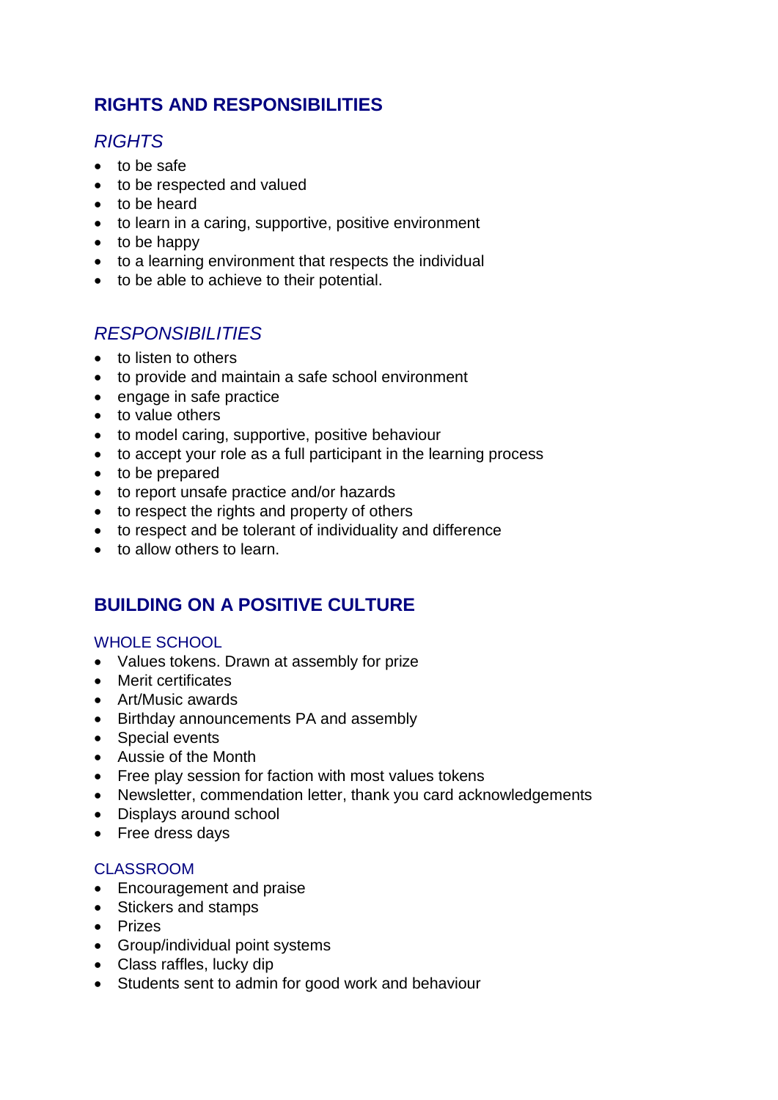## **RIGHTS AND RESPONSIBILITIES**

## *RIGHTS*

- to be safe
- to be respected and valued
- to be heard
- to learn in a caring, supportive, positive environment
- $\bullet$  to be happy
- to a learning environment that respects the individual
- to be able to achieve to their potential.

## *RESPONSIBILITIES*

- to listen to others
- to provide and maintain a safe school environment
- engage in safe practice
- to value others
- to model caring, supportive, positive behaviour
- to accept your role as a full participant in the learning process
- to be prepared
- to report unsafe practice and/or hazards
- to respect the rights and property of others
- to respect and be tolerant of individuality and difference
- to allow others to learn.

## **BUILDING ON A POSITIVE CULTURE**

#### WHOLE SCHOOL

- Values tokens. Drawn at assembly for prize
- Merit certificates
- Art/Music awards
- Birthday announcements PA and assembly
- Special events
- Aussie of the Month
- Free play session for faction with most values tokens
- Newsletter, commendation letter, thank you card acknowledgements
- Displays around school
- Free dress days

#### CLASSROOM

- Encouragement and praise
- Stickers and stamps
- Prizes
- Group/individual point systems
- Class raffles, lucky dip
- Students sent to admin for good work and behaviour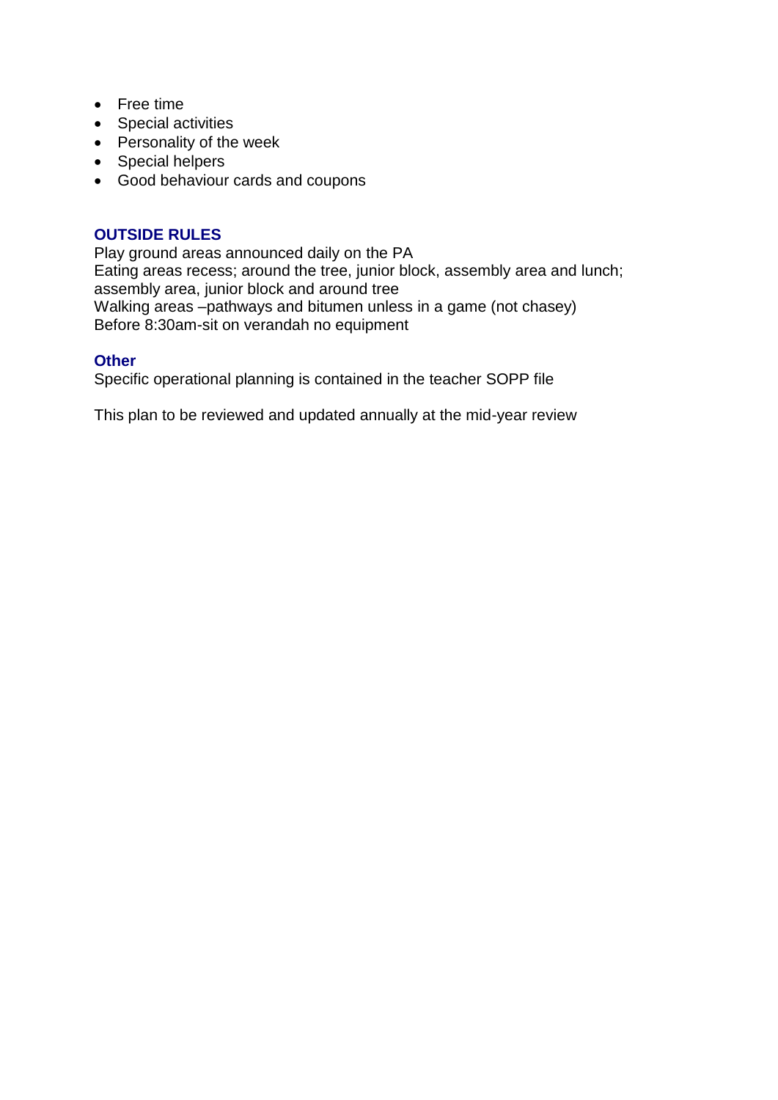- Free time
- Special activities
- $\bullet$  Personality of the week
- Special helpers
- Good behaviour cards and coupons

#### **OUTSIDE RULES**

Play ground areas announced daily on the PA Eating areas recess; around the tree, junior block, assembly area and lunch; assembly area, junior block and around tree Walking areas –pathways and bitumen unless in a game (not chasey) Before 8:30am-sit on verandah no equipment

#### **Other**

Specific operational planning is contained in the teacher SOPP file

This plan to be reviewed and updated annually at the mid-year review